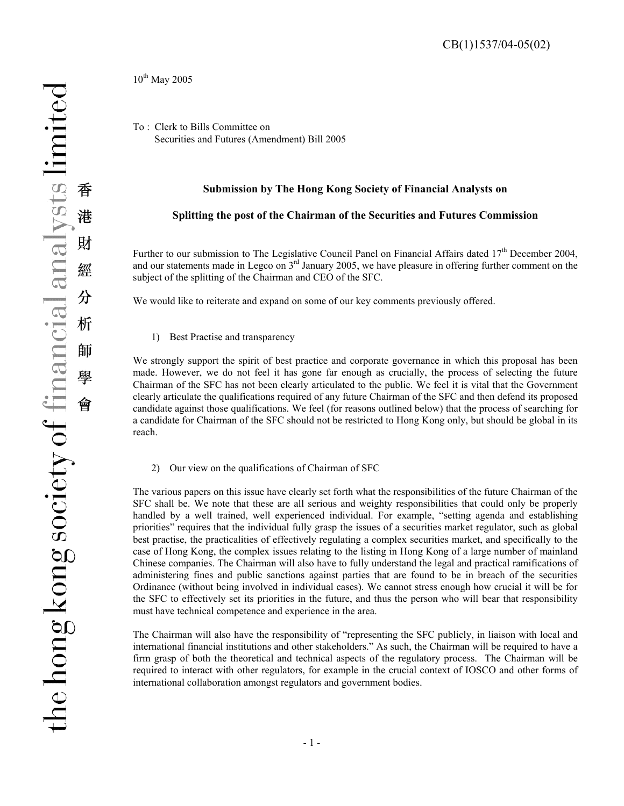CB(1)1537/04-05(02)

 $10^{th}$  May 2005

To : Clerk to Bills Committee on Securities and Futures (Amendment) Bill 2005

## **Submission by The Hong Kong Society of Financial Analysts on**

## **Splitting the post of the Chairman of the Securities and Futures Commission**

Further to our submission to The Legislative Council Panel on Financial Affairs dated  $17<sup>th</sup>$  December 2004, and our statements made in Legco on 3<sup>rd</sup> January 2005, we have pleasure in offering further comment on the subject of the splitting of the Chairman and CEO of the SFC.

We would like to reiterate and expand on some of our key comments previously offered.

1) Best Practise and transparency

We strongly support the spirit of best practice and corporate governance in which this proposal has been made. However, we do not feel it has gone far enough as crucially, the process of selecting the future Chairman of the SFC has not been clearly articulated to the public. We feel it is vital that the Government clearly articulate the qualifications required of any future Chairman of the SFC and then defend its proposed candidate against those qualifications. We feel (for reasons outlined below) that the process of searching for a candidate for Chairman of the SFC should not be restricted to Hong Kong only, but should be global in its reach.

2) Our view on the qualifications of Chairman of SFC

The various papers on this issue have clearly set forth what the responsibilities of the future Chairman of the SFC shall be. We note that these are all serious and weighty responsibilities that could only be properly handled by a well trained, well experienced individual. For example, "setting agenda and establishing priorities" requires that the individual fully grasp the issues of a securities market regulator, such as global best practise, the practicalities of effectively regulating a complex securities market, and specifically to the case of Hong Kong, the complex issues relating to the listing in Hong Kong of a large number of mainland Chinese companies. The Chairman will also have to fully understand the legal and practical ramifications of administering fines and public sanctions against parties that are found to be in breach of the securities Ordinance (without being involved in individual cases). We cannot stress enough how crucial it will be for the SFC to effectively set its priorities in the future, and thus the person who will bear that responsibility must have technical competence and experience in the area.

The Chairman will also have the responsibility of "representing the SFC publicly, in liaison with local and international financial institutions and other stakeholders." As such, the Chairman will be required to have a firm grasp of both the theoretical and technical aspects of the regulatory process. The Chairman will be required to interact with other regulators, for example in the crucial context of IOSCO and other forms of international collaboration amongst regulators and government bodies.